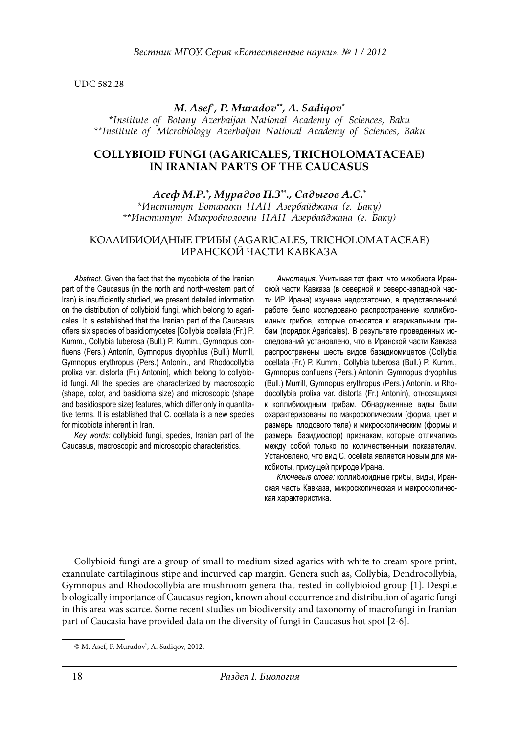UDC 582.28

### *M. Asef\* , P. Muradov\*\*, A. Sadiqov\**

*\*Institute of Botany Azerbaijan National Academy of Sciences, Baku \*\*Institute of Microbiology Azerbaijan National Academy of Sciences, Baku*

### **COLLYBIOID FUNGI (AGARICALES, TRICHOLOMATACEAE) IN IRANIAN PARTS OF THE CAUCASUS**

*Асеф М.Р.\* , Мурадов П.З\*\*., Садыгов А.С.\* \*Институт Ботаники НАН Азербайджана (г. Баку) \*\*Институт Микробиологии НАН Азербайджана (г. Баку)*

### КОЛЛИБИОИДНЫЕ ГРИБЫ (AGARICALES, TRICHOLOMATACEAE) ИРАНСКОЙ ЧАСТИ КАВКАЗА

*Abstract.* Given the fact that the mycobiota of the Iranian part of the Caucasus (in the north and north-western part of Iran) is insufficiently studied, we present detailed information on the distribution of collybioid fungi, which belong to agaricales. It is established that the Iranian part of the Caucasus offers six species of basidiomycetes [Collybia ocellata (Fr.) P. Kumm., Collybia tuberosa (Bull.) P. Kumm., Gymnopus confluens (Pers.) Antonín, Gymnopus dryophilus (Bull.) Murrill, Gymnopus erythropus (Pers.) Antonín., and Rhodocollybia prolixa var. distorta (Fr.) Antonín], which belong to collybioid fungi. All the species are characterized by macroscopic (shape, color, and basidioma size) and microscopic (shape and basidiospore size) features, which differ only in quantitative terms. It is established that C. ocellata is a new species for micobiota inherent in Iran.

*Key words:* collybioid fungi, species, Iranian part of the Caucasus, macroscopic and microscopic characteristics.

*Аннотация.* Учитывая тот факт, что микобиота Иранской части Кавказа (в северной и северо-западной части ИР Ирана) изучена недостаточно, в представленной работе было исследовано распространение коллибиоидных грибов, которые относятся к агарикальным грибам (порядок Agaricales). В результате проведенных исследований установлено, что в Иранской части Кавказа распространены шесть видов базидиомицетов (Collybia ocellata (Fr.) P. Kumm., Collybia tuberosa (Bull.) P. Kumm., Gymnopus confluens (Pers.) Antonín, Gymnopus dryophilus (Bull.) Murrill, Gymnopus erythropus (Pers.) Antonín. и Rhodocollybia prolixa var. distorta (Fr.) Antonín), относящихся к коллибиоидным грибам. Обнаруженные виды были охарактеризованы по макроскопическим (форма, цвет и размеры плодового тела) и микроскопическим (формы и размеры базидиоспор) признакам, которые отличались между собой только по количественным показателям. Установлено, что вид C. ocellata является новым для микобиоты, присущей природе Ирана.

*Ключевые слова:* коллибиоидные грибы, виды, Иранская часть Кавказа, микроскопическая и макроскопическая характеристика.

Collybioid fungi are a group of small to medium sized agarics with white to cream spore print, exannulate cartilaginous stipe and incurved cap margin. Genera such as, Collybia, Dendrocollybia, Gymnopus and Rhodocollybia are mushroom genera that rested in collybioiod group [1]. Despite biologically importance of Caucasus region, known about occurrence and distribution of agaric fungi in this area was scarce. Some recent studies on biodiversity and taxonomy of macrofungi in Iranian part of Caucasia have provided data on the diversity of fungi in Caucasus hot spot [2-6].

<sup>©</sup> M. Asef, P. Muradov\* , A. Sadiqov, 2012.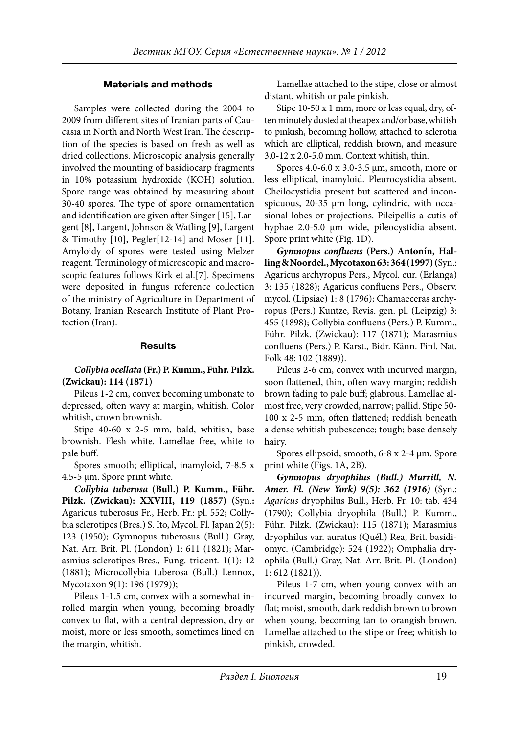# **Materials and methods**

Samples were collected during the 2004 to 2009 from different sites of Iranian parts of Caucasia in North and North West Iran. The description of the species is based on fresh as well as dried collections. Microscopic analysis generally involved the mounting of basidiocarp fragments in 10% potassium hydroxide (KOH) solution. Spore range was obtained by measuring about 30-40 spores. The type of spore ornamentation and identification are given after Singer [15], Largent [8], Largent, Johnson & Watling [9], Largent & Timothy [10], Pegler[12-14] and Moser [11]. Amyloidy of spores were tested using Melzer reagent. Terminology of microscopic and macroscopic features follows Kirk et al.[7]. Specimens were deposited in fungus reference collection of the ministry of Agriculture in Department of Botany, Iranian Research Institute of Plant Protection (Iran).

## **Results**

### *Collybia ocellata* **(Fr.) P. Kumm., Führ. Pilzk. (Zwickau): 114 (1871)**

Pileus 1-2 cm, convex becoming umbonate to depressed, often wavy at margin, whitish. Color whitish, crown brownish.

Stipe 40-60 x 2-5 mm, bald, whitish, base brownish. Flesh white. Lamellae free, white to pale buff.

Spores smooth; elliptical, inamyloid, 7-8.5 x 4.5-5 µm. Spore print white.

*Collybia tuberosa* **(Bull.) P. Kumm., Führ. Pilzk. (Zwickau): XXVIII, 119 (1857) (**Syn.**:**  Agaricus tuberosus Fr., Herb. Fr.: pl. 552; Collybia sclerotipes (Bres.) S. Ito, Mycol. Fl. Japan 2(5): 123 (1950); Gymnopus tuberosus (Bull.) Gray, Nat. Arr. Brit. Pl. (London) 1: 611 (1821); Marasmius sclerotipes Bres., Fung. trident. 1(1): 12 (1881); Microcollybia tuberosa (Bull.) Lennox, Mycotaxon 9(1): 196 (1979));

Pileus 1-1.5 cm, convex with a somewhat inrolled margin when young, becoming broadly convex to flat, with a central depression, dry or moist, more or less smooth, sometimes lined on the margin, whitish.

Lamellae attached to the stipe, close or almost distant, whitish or pale pinkish.

Stipe 10-50 x 1 mm, more or less equal, dry, often minutely dusted at the apex and/or base, whitish to pinkish, becoming hollow, attached to sclerotia which are elliptical, reddish brown, and measure 3.0-12 x 2.0-5.0 mm. Context whitish, thin.

Spores 4.0-6.0 x 3.0-3.5 µm, smooth, more or less elliptical, inamyloid. Pleurocystidia absent. Cheilocystidia present but scattered and inconspicuous, 20-35 µm long, cylindric, with occasional lobes or projections. Pileipellis a cutis of hyphae 2.0-5.0 µm wide, pileocystidia absent. Spore print white (Fig. 1D).

*Gymnopus confluens* **(Pers.) Antonín, Halling & Noordel., Mycotaxon 63: 364 (1997) (**Syn.: Agaricus archyropus Pers., Mycol. eur. (Erlanga) 3: 135 (1828); Agaricus confluens Pers., Observ. mycol. (Lipsiae) 1: 8 (1796); Chamaeceras archyropus (Pers.) Kuntze, Revis. gen. pl. (Leipzig) 3: 455 (1898); Collybia confluens (Pers.) P. Kumm., Führ. Pilzk. (Zwickau): 117 (1871); Marasmius confluens (Pers.) P. Karst., Bidr. Känn. Finl. Nat. Folk 48: 102 (1889)).

Pileus 2-6 cm, convex with incurved margin, soon flattened, thin, often wavy margin; reddish brown fading to pale buff; glabrous. Lamellae almost free, very crowded, narrow; pallid. Stipe 50- 100 x 2-5 mm, often flattened; reddish beneath a dense whitish pubescence; tough; base densely hairy.

Spores ellipsoid, smooth, 6-8 x 2-4 µm. Spore print white (Figs. 1A, 2B).

*Gymnopus dryophilus (Bull.) Murrill, N. Amer. Fl. (New York) 9(5): 362 (1916)* (Syn.: *Agaricus* dryophilus Bull., Herb. Fr. 10: tab. 434 (1790); Collybia dryophila (Bull.) P. Kumm., Führ. Pilzk. (Zwickau): 115 (1871); Marasmius dryophilus var. auratus (Quél.) Rea, Brit. basidiomyc. (Cambridge): 524 (1922); Omphalia dryophila (Bull.) Gray, Nat. Arr. Brit. Pl. (London) 1: 612 (1821)).

Pileus 1-7 cm, when young convex with an incurved margin, becoming broadly convex to flat; moist, smooth, dark reddish brown to brown when young, becoming tan to orangish brown. Lamellae attached to the stipe or free; whitish to pinkish, crowded.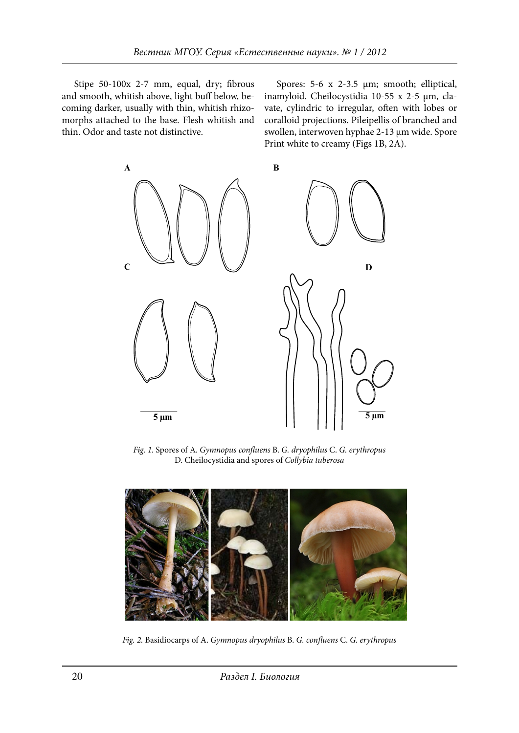Stipe 50-100x 2-7 mm, equal, dry; fibrous and smooth, whitish above, light buff below, becoming darker, usually with thin, whitish rhizocoming darket, usually with thin, whitesti filizo-<br>morphs attached to the base. Flesh whitish and coralloid pr thin. Odor and taste not distinctive.

Spores: 5-6 x 2-3.5 µm; smooth; elliptical, th, whitish above, light buff below, be- inamyloid. Cheilocystidia 10-55 x 2-5 µm, clavate, cylindric to irregular, often with lobes or coralloid projections. Pileipellis of branched and swollen, interwoven hyphae 2-13 µm wide. Spore Print white to creamy (Figs 1B, 2A).



Cheilocystidia and spores of *Collybia tuberosa Fig. 1.* Spores of A. *Gymnopus confluens* B. *G. dryophilus* C. *G. erythropus* Cheilocystidia and spores of *Collybia tuberosa* D. Cheilocystidia and spores of *Collybia tuberosa*



Fig. 2. Basidiocarps of A. Gymnopus dryophilus B. G. confluens C. G. erythropus